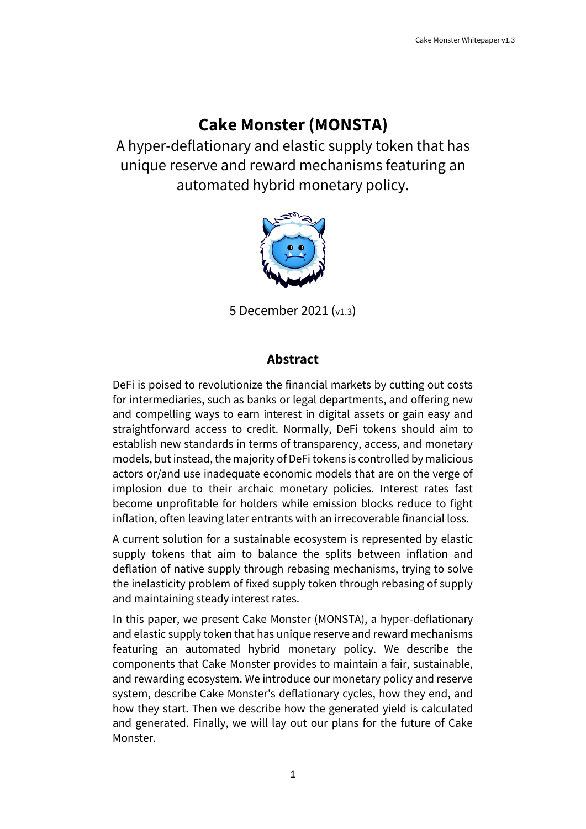## **Cake Monster (MONSTA)**

A hyper-deflationary and elastic supply token that has unique reserve and reward mechanisms featuring an automated hybrid monetary policy.



5 December 2021 (v1.3)

### **Abstract**

DeFi is poised to revolutionize the financial markets by cutting out costs for intermediaries, such as banks or legal departments, and offering new and compelling ways to earn interest in digital assets or gain easy and straightforward access to credit. Normally, DeFi tokens should aim to establish new standards in terms of transparency, access, and monetary models, but instead, the majority of DeFi tokens is controlled by malicious actors or/and use inadequate economic models that are on the verge of implosion due to their archaic monetary policies. Interest rates fast become unprofitable for holders while emission blocks reduce to fight inflation, often leaving later entrants with an irrecoverable financial loss.

A current solution for a sustainable ecosystem is represented by elastic supply tokens that aim to balance the splits between inflation and deflation of native supply through rebasing mechanisms, trying to solve the inelasticity problem of fixed supply token through rebasing of supply and maintaining steady interest rates.

In this paper, we present Cake Monster (MONSTA), a hyper-deflationary and elastic supply token that has unique reserve and reward mechanisms featuring an automated hybrid monetary policy. We describe the components that Cake Monster provides to maintain a fair, sustainable, and rewarding ecosystem. We introduce our monetary policy and reserve system, describe Cake Monster's deflationary cycles, how they end, and how they start. Then we describe how the generated yield is calculated and generated. Finally, we will lay out our plans for the future of Cake Monster.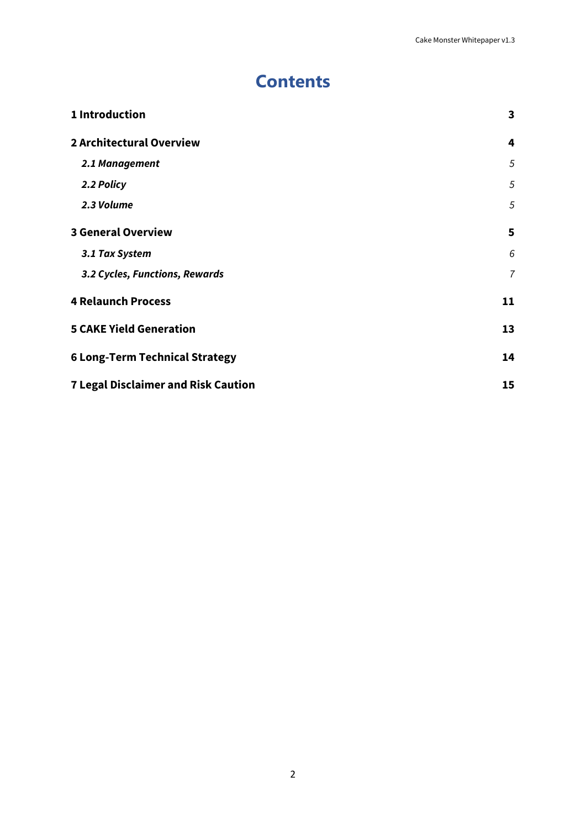## **Contents**

| 1 Introduction                             | 3              |
|--------------------------------------------|----------------|
| <b>2 Architectural Overview</b>            | 4              |
| 2.1 Management                             | 5              |
| 2.2 Policy                                 | 5              |
| 2.3 Volume                                 | 5              |
| <b>3 General Overview</b>                  | 5              |
| 3.1 Tax System                             | 6              |
| 3.2 Cycles, Functions, Rewards             | $\overline{7}$ |
| <b>4 Relaunch Process</b>                  | 11             |
| <b>5 CAKE Yield Generation</b>             | 13             |
| <b>6 Long-Term Technical Strategy</b>      | 14             |
| <b>7 Legal Disclaimer and Risk Caution</b> | 15             |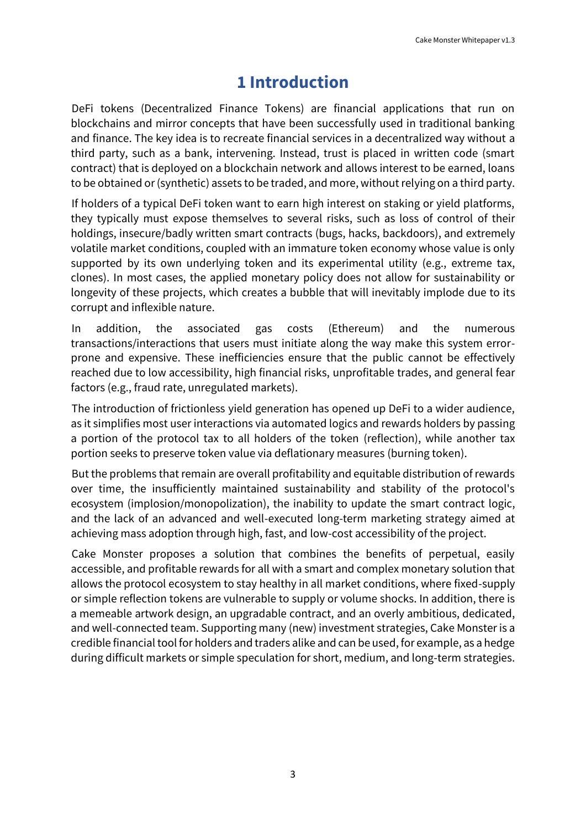## **1 Introduction**

<span id="page-2-0"></span>DeFi tokens (Decentralized Finance Tokens) are financial applications that run on blockchains and mirror concepts that have been successfully used in traditional banking and finance. The key idea is to recreate financial services in a decentralized way without a third party, such as a bank, intervening. Instead, trust is placed in written code (smart contract) that is deployed on a blockchain network and allows interest to be earned, loans to be obtained or (synthetic) assets to be traded, and more, without relying on a third party.

If holders of a typical DeFi token want to earn high interest on staking or yield platforms, they typically must expose themselves to several risks, such as loss of control of their holdings, insecure/badly written smart contracts (bugs, hacks, backdoors), and extremely volatile market conditions, coupled with an immature token economy whose value is only supported by its own underlying token and its experimental utility (e.g., extreme tax, clones). In most cases, the applied monetary policy does not allow for sustainability or longevity of these projects, which creates a bubble that will inevitably implode due to its corrupt and inflexible nature.

In addition, the associated gas costs (Ethereum) and the numerous transactions/interactions that users must initiate along the way make this system errorprone and expensive. These inefficiencies ensure that the public cannot be effectively reached due to low accessibility, high financial risks, unprofitable trades, and general fear factors (e.g., fraud rate, unregulated markets).

The introduction of frictionless yield generation has opened up DeFi to a wider audience, as it simplifies most user interactions via automated logics and rewards holders by passing a portion of the protocol tax to all holders of the token (reflection), while another tax portion seeks to preserve token value via deflationary measures (burning token).

But the problems that remain are overall profitability and equitable distribution of rewards over time, the insufficiently maintained sustainability and stability of the protocol's ecosystem (implosion/monopolization), the inability to update the smart contract logic, and the lack of an advanced and well-executed long-term marketing strategy aimed at achieving mass adoption through high, fast, and low-cost accessibility of the project.

Cake Monster proposes a solution that combines the benefits of perpetual, easily accessible, and profitable rewards for all with a smart and complex monetary solution that allows the protocol ecosystem to stay healthy in all market conditions, where fixed-supply or simple reflection tokens are vulnerable to supply or volume shocks. In addition, there is a memeable artwork design, an upgradable contract, and an overly ambitious, dedicated, and well-connected team. Supporting many (new) investment strategies, Cake Monster is a credible financial tool for holders and traders alike and can be used, for example, as a hedge during difficult markets or simple speculation for short, medium, and long-term strategies.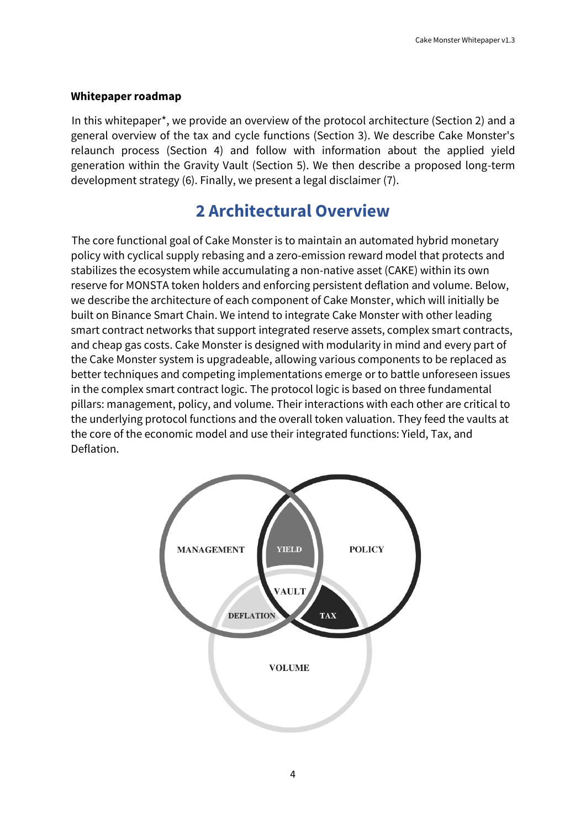#### **Whitepaper roadmap**

In this whitepaper\*, we provide an overview of the protocol architecture (Section 2) and a general overview of the tax and cycle functions (Section 3). We describe Cake Monster's relaunch process (Section 4) and follow with information about the applied yield generation within the Gravity Vault (Section 5). We then describe a proposed long-term development strategy (6). Finally, we present a legal disclaimer (7).

## **2 Architectural Overview**

<span id="page-3-0"></span>The core functional goal of Cake Monster is to maintain an automated hybrid monetary policy with cyclical supply rebasing and a zero-emission reward model that protects and stabilizes the ecosystem while accumulating a non-native asset (CAKE) within its own reserve for MONSTA token holders and enforcing persistent deflation and volume. Below, we describe the architecture of each component of Cake Monster, which will initially be built on Binance Smart Chain. We intend to integrate Cake Monster with other leading smart contract networks that support integrated reserve assets, complex smart contracts, and cheap gas costs. Cake Monster is designed with modularity in mind and every part of the Cake Monster system is upgradeable, allowing various components to be replaced as better techniques and competing implementations emerge or to battle unforeseen issues in the complex smart contract logic. The protocol logic is based on three fundamental pillars: management, policy, and volume. Their interactions with each other are critical to the underlying protocol functions and the overall token valuation. They feed the vaults at the core of the economic model and use their integrated functions: Yield, Tax, and Deflation.

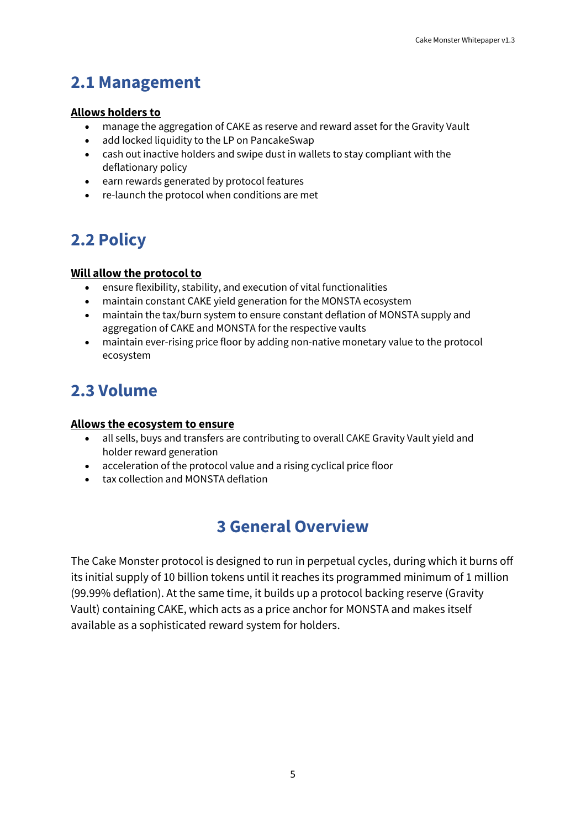## <span id="page-4-0"></span>**2.1 Management**

#### **Allows holders to**

- manage the aggregation of CAKE as reserve and reward asset for the Gravity Vault
- add locked liquidity to the LP on PancakeSwap
- cash out inactive holders and swipe dust in wallets to stay compliant with the deflationary policy
- earn rewards generated by protocol features
- re-launch the protocol when conditions are met

# <span id="page-4-1"></span>**2.2 Policy**

#### **Will allow the protocol to**

- ensure flexibility, stability, and execution of vital functionalities
- maintain constant CAKE yield generation for the MONSTA ecosystem
- maintain the tax/burn system to ensure constant deflation of MONSTA supply and aggregation of CAKE and MONSTA for the respective vaults
- maintain ever-rising price floor by adding non-native monetary value to the protocol ecosystem

## <span id="page-4-2"></span>**2.3 Volume**

#### **Allows the ecosystem to ensure**

- all sells, buys and transfers are contributing to overall CAKE Gravity Vault yield and holder reward generation
- acceleration of the protocol value and a rising cyclical price floor
- <span id="page-4-3"></span>• tax collection and MONSTA deflation

## **3 General Overview**

The Cake Monster protocol is designed to run in perpetual cycles, during which it burns off its initial supply of 10 billion tokens until it reaches its programmed minimum of 1 million (99.99% deflation). At the same time, it builds up a protocol backing reserve (Gravity Vault) containing CAKE, which acts as a price anchor for MONSTA and makes itself available as a sophisticated reward system for holders.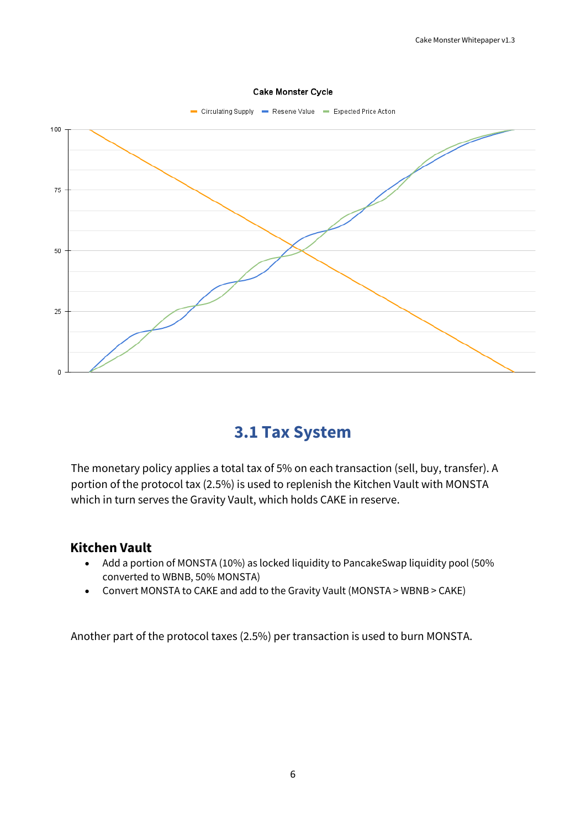

#### Cake Monster Cycle

## **3.1 Tax System**

<span id="page-5-0"></span>The monetary policy applies a total tax of 5% on each transaction (sell, buy, transfer). A portion of the protocol tax (2.5%) is used to replenish the Kitchen Vault with MONSTA which in turn serves the Gravity Vault, which holds CAKE in reserve.

#### **Kitchen Vault**

- Add a portion of MONSTA (10%) as locked liquidity to PancakeSwap liquidity pool (50% converted to WBNB, 50% MONSTA)
- Convert MONSTA to CAKE and add to the Gravity Vault (MONSTA > WBNB > CAKE)

Another part of the protocol taxes (2.5%) per transaction is used to burn MONSTA.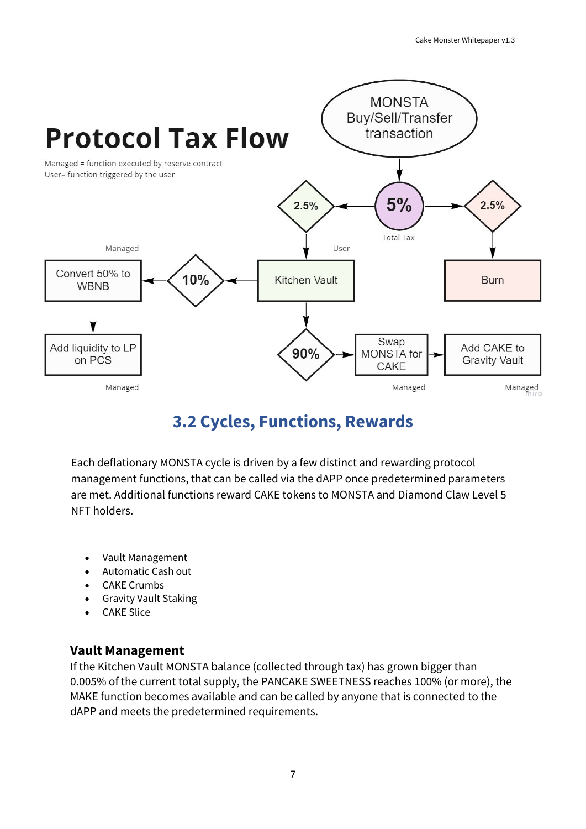

## **3.2 Cycles, Functions, Rewards**

<span id="page-6-0"></span>Each deflationary MONSTA cycle is driven by a few distinct and rewarding protocol management functions, that can be called via the dAPP once predetermined parameters are met. Additional functions reward CAKE tokens to MONSTA and Diamond Claw Level 5 NFT holders.

- Vault Management
- Automatic Cash out
- **CAKE Crumbs**
- Gravity Vault Staking
- CAKE Slice

### **Vault Management**

If the Kitchen Vault MONSTA balance (collected through tax) has grown bigger than 0.005% of the current total supply, the PANCAKE SWEETNESS reaches 100% (or more), the MAKE function becomes available and can be called by anyone that is connected to the dAPP and meets the predetermined requirements.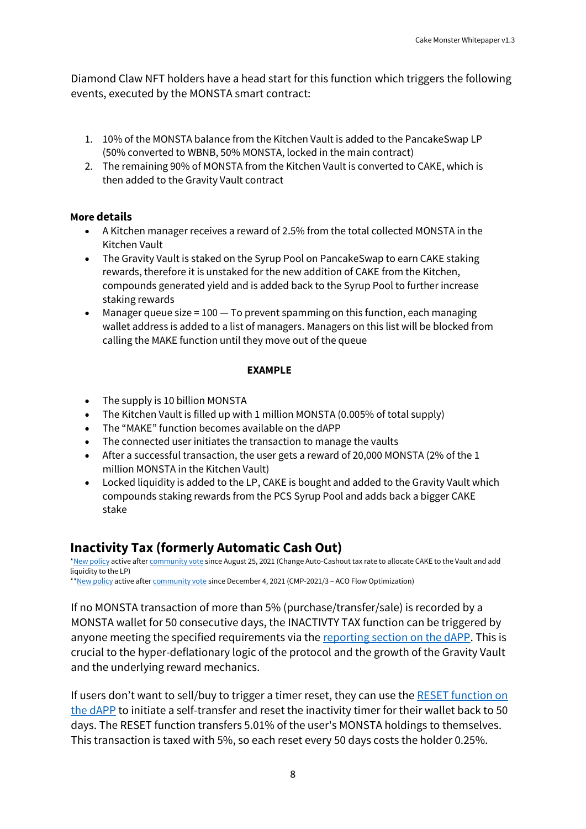Diamond Claw NFT holders have a head start for this function which triggers the following events, executed by the MONSTA smart contract:

- 1. 10% of the MONSTA balance from the Kitchen Vault is added to the PancakeSwap LP (50% converted to WBNB, 50% MONSTA, locked in the main contract)
- 2. The remaining 90% of MONSTA from the Kitchen Vault is converted to CAKE, which is then added to the Gravity Vault contract

#### **More details**

- A Kitchen manager receives a reward of 2.5% from the total collected MONSTA in the Kitchen Vault
- The Gravity Vault is staked on the Syrup Pool on PancakeSwap to earn CAKE staking rewards, therefore it is unstaked for the new addition of CAKE from the Kitchen, compounds generated yield and is added back to the Syrup Pool to further increase staking rewards
- Manager queue size  $= 100 T_0$  prevent spamming on this function, each managing wallet address is added to a list of managers. Managers on this list will be blocked from calling the MAKE function until they move out of the queue

#### **EXAMPLE**

- The supply is 10 billion MONSTA
- The Kitchen Vault is filled up with 1 million MONSTA (0.005% of total supply)
- The "MAKE" function becomes available on the dAPP
- The connected user initiates the transaction to manage the vaults
- After a successful transaction, the user gets a reward of 20,000 MONSTA (2% of the 1 million MONSTA in the Kitchen Vault)
- Locked liquidity is added to the LP, CAKE is bought and added to the Gravity Vault which compounds staking rewards from the PCS Syrup Pool and adds back a bigger CAKE stake

### **Inactivity Tax (formerly Automatic Cash Out)**

[\\*New policy](https://cakemonster.medium.com/new-auto-cashout-policy-double-kitchen-rewards-crumbs-boost-and-more-f56d6dd5c030) active afte[r community vote](https://snapshot.org/#/cakemonster.eth/proposal/QmdqMBurhQdoVGujHWobmDZM2v7aYAvdUVu8G4H3wvkbLn) since August 25, 2021 (Change Auto-Cashout tax rate to allocate CAKE to the Vault and add liquidity to the LP)

\*[\\*New policy](https://cakemonster.medium.com/introducing-inactivity-tax-completion-of-further-auto-cashout-optimizations-7017b95dfbef) active afte[r community vote](https://snapshot.org/#/cakemonster.eth/proposal/0xd017e35d4a77e4904648ad25410acf68b5c93e02daf583170c44203a637bca7f) since December 4, 2021 (CMP-2021/3 - ACO Flow Optimization)

If no MONSTA transaction of more than 5% (purchase/transfer/sale) is recorded by a MONSTA wallet for 50 consecutive days, the INACTIVTY TAX function can be triggered by anyone meeting the specified requirements via the [reporting section](https://app.cake.monster/#/reports/auto-cashout) on the dAPP. This is crucial to the hyper-deflationary logic of the protocol and the growth of the Gravity Vault and the underlying reward mechanics.

If users don't want to sell/buy to trigger a timer reset, they can use the RESET function on [the dAPP](https://app.cake.monster/#/wallet) to initiate a self-transfer and reset the inactivity timer for their wallet back to 50 days. The RESET function transfers 5.01% of the user's MONSTA holdings to themselves. This transaction is taxed with 5%, so each reset every 50 days costs the holder 0.25%.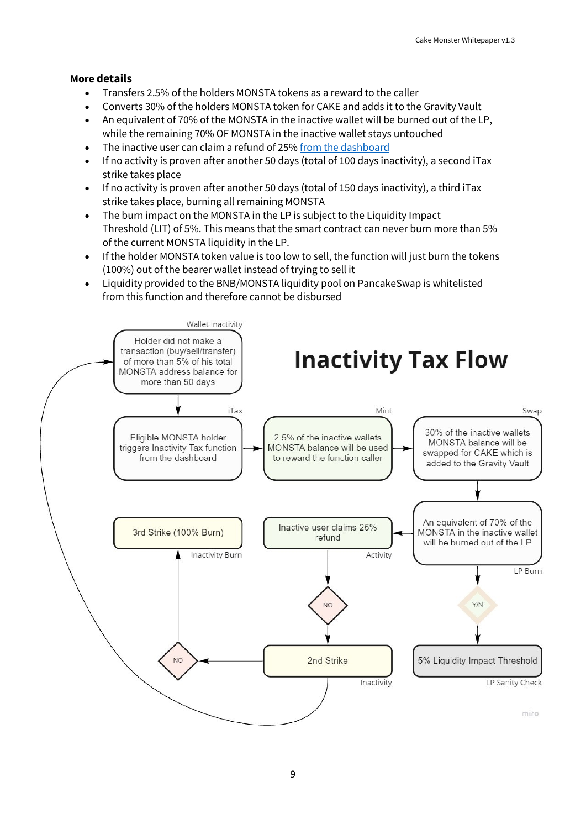#### **More details**

- Transfers 2.5% of the holders MONSTA tokens as a reward to the caller
- Converts 30% of the holders MONSTA token for CAKE and adds it to the Gravity Vault
- An equivalent of 70% of the MONSTA in the inactive wallet will be burned out of the LP, while the remaining 70% OF MONSTA in the inactive wallet stays untouched
- The inactive user can claim a refund of 25[% from the dashboard](https://app.cake.monster/#/claim-refund)
- If no activity is proven after another 50 days (total of 100 days inactivity), a second iTax strike takes place
- If no activity is proven after another 50 days (total of 150 days inactivity), a third iTax strike takes place, burning all remaining MONSTA
- The burn impact on the MONSTA in the LP is subject to the Liquidity Impact Threshold (LIT) of 5%. This means that the smart contract can never burn more than 5% of the current MONSTA liquidity in the LP.
- If the holder MONSTA token value is too low to sell, the function will just burn the tokens (100%) out of the bearer wallet instead of trying to sell it
- Liquidity provided to the BNB/MONSTA liquidity pool on PancakeSwap is whitelisted from this function and therefore cannot be disbursed

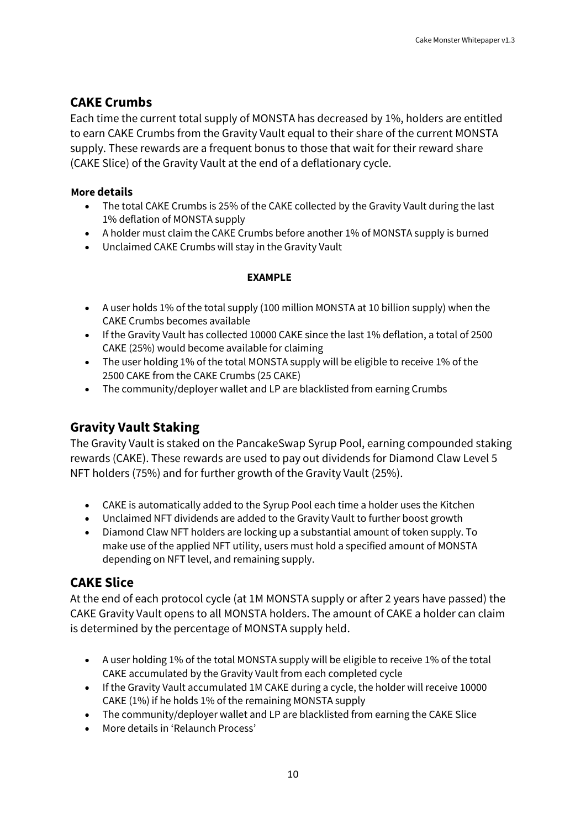### **CAKE Crumbs**

Each time the current total supply of MONSTA has decreased by 1%, holders are entitled to earn CAKE Crumbs from the Gravity Vault equal to their share of the current MONSTA supply. These rewards are a frequent bonus to those that wait for their reward share (CAKE Slice) of the Gravity Vault at the end of a deflationary cycle.

#### **More details**

- The total CAKE Crumbs is 25% of the CAKE collected by the Gravity Vault during the last 1% deflation of MONSTA supply
- A holder must claim the CAKE Crumbs before another 1% of MONSTA supply is burned
- Unclaimed CAKE Crumbs will stay in the Gravity Vault

#### **EXAMPLE**

- A user holds 1% of the total supply (100 million MONSTA at 10 billion supply) when the CAKE Crumbs becomes available
- If the Gravity Vault has collected 10000 CAKE since the last 1% deflation, a total of 2500 CAKE (25%) would become available for claiming
- The user holding 1% of the total MONSTA supply will be eligible to receive 1% of the 2500 CAKE from the CAKE Crumbs (25 CAKE)
- The community/deployer wallet and LP are blacklisted from earning Crumbs

### **Gravity Vault Staking**

The Gravity Vault is staked on the PancakeSwap Syrup Pool, earning compounded staking rewards (CAKE). These rewards are used to pay out dividends for Diamond Claw Level 5 NFT holders (75%) and for further growth of the Gravity Vault (25%).

- CAKE is automatically added to the Syrup Pool each time a holder uses the Kitchen
- Unclaimed NFT dividends are added to the Gravity Vault to further boost growth
- Diamond Claw NFT holders are locking up a substantial amount of token supply. To make use of the applied NFT utility, users must hold a specified amount of MONSTA depending on NFT level, and remaining supply.

### **CAKE Slice**

At the end of each protocol cycle (at 1M MONSTA supply or after 2 years have passed) the CAKE Gravity Vault opens to all MONSTA holders. The amount of CAKE a holder can claim is determined by the percentage of MONSTA supply held.

- A user holding 1% of the total MONSTA supply will be eligible to receive 1% of the total CAKE accumulated by the Gravity Vault from each completed cycle
- If the Gravity Vault accumulated 1M CAKE during a cycle, the holder will receive 10000 CAKE (1%) if he holds 1% of the remaining MONSTA supply
- The community/deployer wallet and LP are blacklisted from earning the CAKE Slice
- More details in 'Relaunch Process'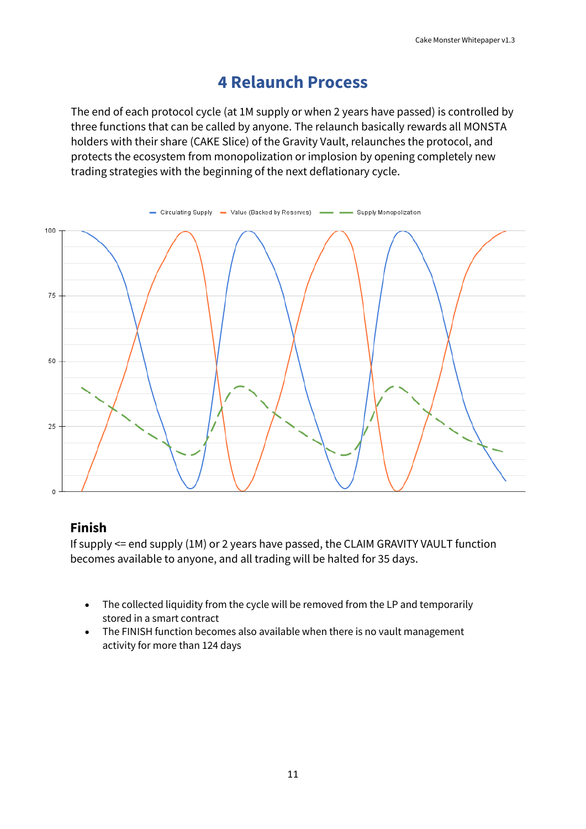## **4 Relaunch Process**

<span id="page-10-0"></span>The end of each protocol cycle (at 1M supply or when 2 years have passed) is controlled by three functions that can be called by anyone. The relaunch basically rewards all MONSTA holders with their share (CAKE Slice) of the Gravity Vault, relaunches the protocol, and protects the ecosystem from monopolization or implosion by opening completely new trading strategies with the beginning of the next deflationary cycle.



### **Finish**

If supply <= end supply (1M) or 2 years have passed, the CLAIM GRAVITY VAULT function becomes available to anyone, and all trading will be halted for 35 days.

- The collected liquidity from the cycle will be removed from the LP and temporarily stored in a smart contract
- The FINISH function becomes also available when there is no vault management activity for more than 124 days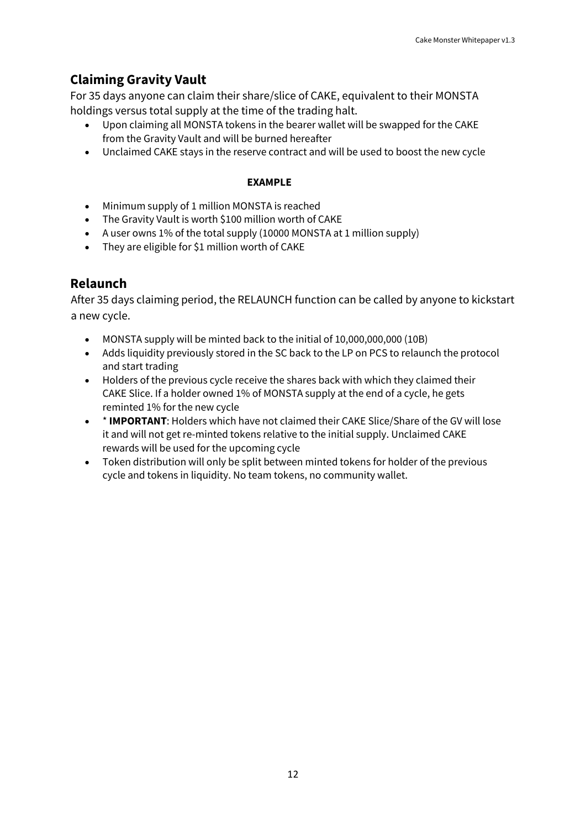## **Claiming Gravity Vault**

For 35 days anyone can claim their share/slice of CAKE, equivalent to their MONSTA holdings versus total supply at the time of the trading halt.

- Upon claiming all MONSTA tokens in the bearer wallet will be swapped for the CAKE from the Gravity Vault and will be burned hereafter
- Unclaimed CAKE stays in the reserve contract and will be used to boost the new cycle

#### **EXAMPLE**

- Minimum supply of 1 million MONSTA is reached
- The Gravity Vault is worth \$100 million worth of CAKE
- A user owns 1% of the total supply (10000 MONSTA at 1 million supply)
- They are eligible for \$1 million worth of CAKE

### **Relaunch**

After 35 days claiming period, the RELAUNCH function can be called by anyone to kickstart a new cycle.

- MONSTA supply will be minted back to the initial of 10,000,000,000 (10B)
- Adds liquidity previously stored in the SC back to the LP on PCS to relaunch the protocol and start trading
- Holders of the previous cycle receive the shares back with which they claimed their CAKE Slice. If a holder owned 1% of MONSTA supply at the end of a cycle, he gets reminted 1% for the new cycle
- \* **IMPORTANT**: Holders which have not claimed their CAKE Slice/Share of the GV will lose it and will not get re-minted tokens relative to the initial supply. Unclaimed CAKE rewards will be used for the upcoming cycle
- Token distribution will only be split between minted tokens for holder of the previous cycle and tokens in liquidity. No team tokens, no community wallet.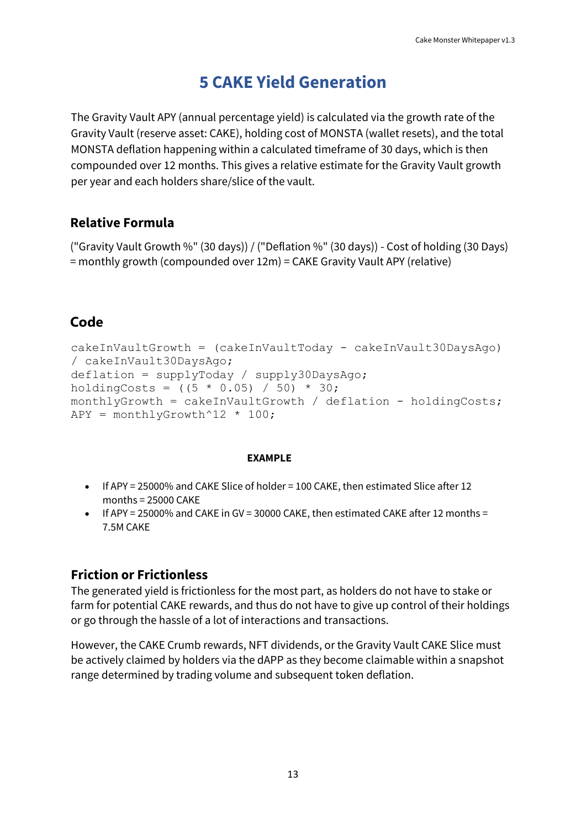## **5 CAKE Yield Generation**

<span id="page-12-0"></span>The Gravity Vault APY (annual percentage yield) is calculated via the growth rate of the Gravity Vault (reserve asset: CAKE), holding cost of MONSTA (wallet resets), and the total MONSTA deflation happening within a calculated timeframe of 30 days, which is then compounded over 12 months. This gives a relative estimate for the Gravity Vault growth per year and each holders share/slice of the vault.

### **Relative Formula**

("Gravity Vault Growth %" (30 days)) / ("Deflation %" (30 days)) - Cost of holding (30 Days) = monthly growth (compounded over 12m) = CAKE Gravity Vault APY (relative)

### **Code**

```
cakeInVaultGrowth = (cakeInVaultToday - cakeInVault30DaysAgo) 
/ cakeInVault30DaysAgo;
deflation = supplyToday / supply30DaysAgo;
holdingCosts = ((5 * 0.05) / 50) * 30;monthlyGrowth = cakeInVaultGrowth / deflation - holdingCosts;
APY = monthlyGrowth^12 * 100;
```
#### **EXAMPLE**

- If APY = 25000% and CAKE Slice of holder = 100 CAKE, then estimated Slice after 12 months = 25000 CAKE
- If APY = 25000% and CAKE in GV = 30000 CAKE, then estimated CAKE after 12 months = 7.5M CAKE

### **Friction or Frictionless**

The generated yield is frictionless for the most part, as holders do not have to stake or farm for potential CAKE rewards, and thus do not have to give up control of their holdings or go through the hassle of a lot of interactions and transactions.

However, the CAKE Crumb rewards, NFT dividends, or the Gravity Vault CAKE Slice must be actively claimed by holders via the dAPP as they become claimable within a snapshot range determined by trading volume and subsequent token deflation.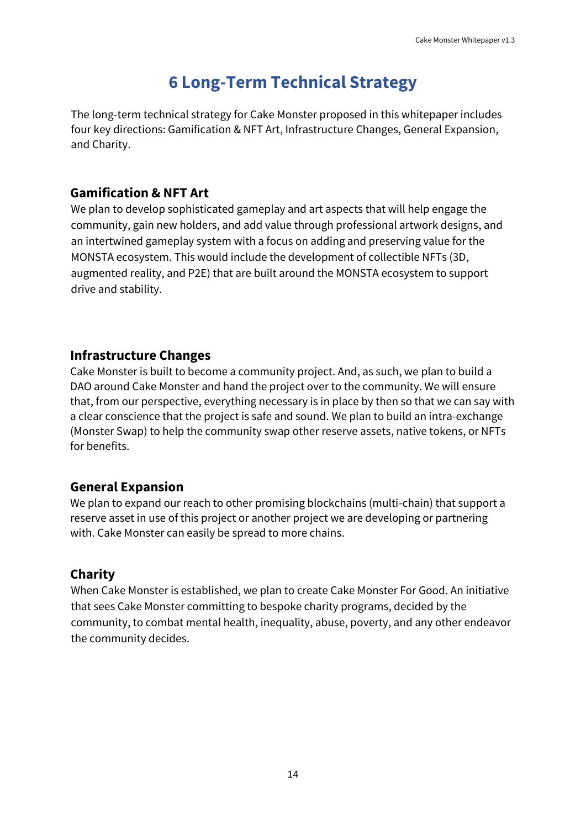## **6 Long-Term Technical Strategy**

<span id="page-13-0"></span>The long-term technical strategy for Cake Monster proposed in this whitepaper includes four key directions: Gamification & NFT Art, Infrastructure Changes, General Expansion, and Charity.

### **Gamification & NFT Art**

We plan to develop sophisticated gameplay and art aspects that will help engage the community, gain new holders, and add value through professional artwork designs, and an intertwined gameplay system with a focus on adding and preserving value for the MONSTA ecosystem. This would include the development of collectible NFTs (3D, augmented reality, and P2E) that are built around the MONSTA ecosystem to support drive and stability.

### **Infrastructure Changes**

Cake Monster is built to become a community project. And, as such, we plan to build a DAO around Cake Monster and hand the project over to the community. We will ensure that, from our perspective, everything necessary is in place by then so that we can say with a clear conscience that the project is safe and sound. We plan to build an intra-exchange (Monster Swap) to help the community swap other reserve assets, native tokens, or NFTs for benefits.

#### **General Expansion**

We plan to expand our reach to other promising blockchains (multi-chain) that support a reserve asset in use of this project or another project we are developing or partnering with. Cake Monster can easily be spread to more chains.

### **Charity**

When Cake Monster is established, we plan to create Cake Monster For Good. An initiative that sees Cake Monster committing to bespoke charity programs, decided by the community, to combat mental health, inequality, abuse, poverty, and any other endeavor the community decides.